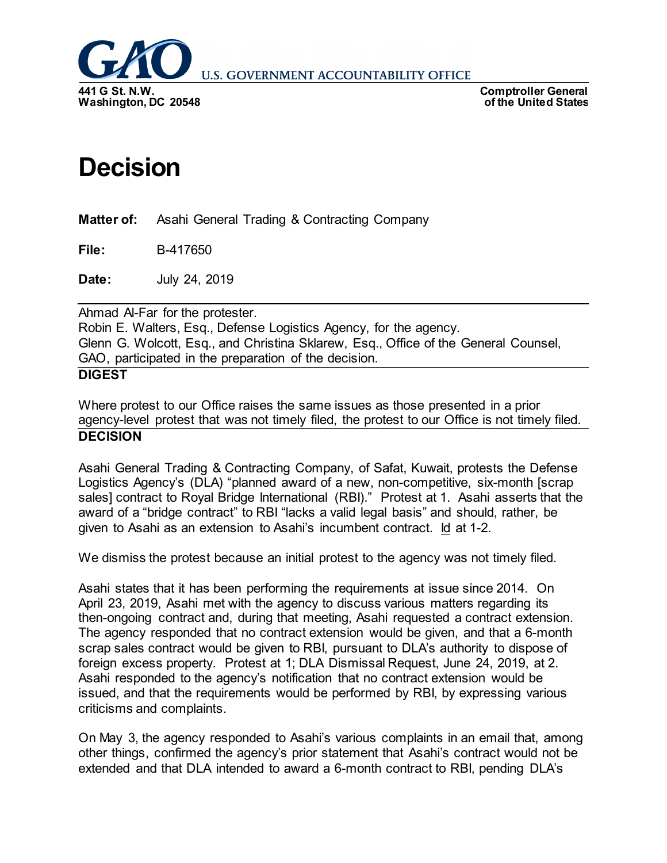

**U.S. GOVERNMENT ACCOUNTABILITY OFFICE** 

**Comptroller General of the United States**

## **Decision**

**Matter of:** Asahi General Trading & Contracting Company

**File:** B-417650

**Date:** July 24, 2019

Ahmad Al-Far for the protester. Robin E. Walters, Esq., Defense Logistics Agency, for the agency. Glenn G. Wolcott, Esq., and Christina Sklarew, Esq., Office of the General Counsel, GAO, participated in the preparation of the decision.

## **DIGEST**

Where protest to our Office raises the same issues as those presented in a prior agency-level protest that was not timely filed, the protest to our Office is not timely filed. **DECISION**

Asahi General Trading & Contracting Company, of Safat, Kuwait, protests the Defense Logistics Agency's (DLA) "planned award of a new, non-competitive, six-month [scrap sales] contract to Royal Bridge International (RBI)." Protest at 1. Asahi asserts that the award of a "bridge contract" to RBI "lacks a valid legal basis" and should, rather, be given to Asahi as an extension to Asahi's incumbent contract. Id at 1-2.

We dismiss the protest because an initial protest to the agency was not timely filed.

Asahi states that it has been performing the requirements at issue since 2014. On April 23, 2019, Asahi met with the agency to discuss various matters regarding its then-ongoing contract and, during that meeting, Asahi requested a contract extension. The agency responded that no contract extension would be given, and that a 6-month scrap sales contract would be given to RBI, pursuant to DLA's authority to dispose of foreign excess property. Protest at 1; DLA Dismissal Request, June 24, 2019, at 2. Asahi responded to the agency's notification that no contract extension would be issued, and that the requirements would be performed by RBI, by expressing various criticisms and complaints.

On May 3, the agency responded to Asahi's various complaints in an email that, among other things, confirmed the agency's prior statement that Asahi's contract would not be extended and that DLA intended to award a 6-month contract to RBI, pending DLA's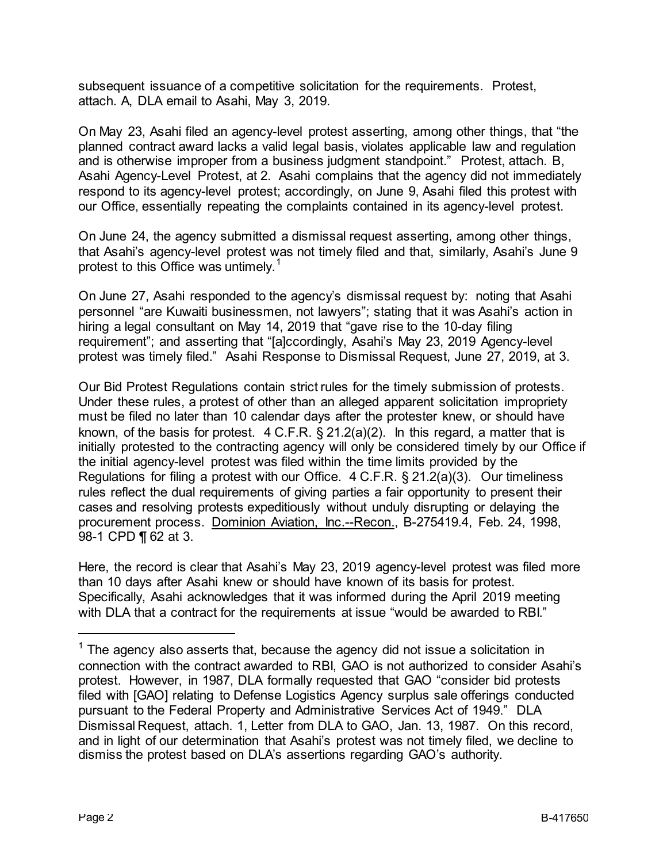subsequent issuance of a competitive solicitation for the requirements. Protest, attach. A, DLA email to Asahi, May 3, 2019.

On May 23, Asahi filed an agency-level protest asserting, among other things, that "the planned contract award lacks a valid legal basis, violates applicable law and regulation and is otherwise improper from a business judgment standpoint." Protest, attach. B, Asahi Agency-Level Protest, at 2. Asahi complains that the agency did not immediately respond to its agency-level protest; accordingly, on June 9, Asahi filed this protest with our Office, essentially repeating the complaints contained in its agency-level protest.

On June 24, the agency submitted a dismissal request asserting, among other things, that Asahi's agency-level protest was not timely filed and that, similarly, Asahi's June 9 protest to this Office was untimely.<sup>[1](#page-1-0)</sup>

On June 27, Asahi responded to the agency's dismissal request by: noting that Asahi personnel "are Kuwaiti businessmen, not lawyers"; stating that it was Asahi's action in hiring a legal consultant on May 14, 2019 that "gave rise to the 10-day filing requirement"; and asserting that "[a]ccordingly, Asahi's May 23, 2019 Agency-level protest was timely filed." Asahi Response to Dismissal Request, June 27, 2019, at 3.

Our Bid Protest Regulations contain strict rules for the timely submission of protests. Under these rules, a protest of other than an alleged apparent solicitation impropriety must be filed no later than 10 calendar days after the protester knew, or should have known, of the basis for protest. 4 C.F.R. § 21.2(a)(2). In this regard, a matter that is initially protested to the contracting agency will only be considered timely by our Office if the initial agency-level protest was filed within the time limits provided by the Regulations for filing a protest with our Office. 4 C.F.R. § 21.2(a)(3). Our timeliness rules reflect the dual requirements of giving parties a fair opportunity to present their cases and resolving protests expeditiously without unduly disrupting or delaying the procurement process. Dominion Aviation, Inc.--Recon., B-275419.4, Feb. 24, 1998, 98-1 CPD ¶ 62 at 3.

Here, the record is clear that Asahi's May 23, 2019 agency-level protest was filed more than 10 days after Asahi knew or should have known of its basis for protest. Specifically, Asahi acknowledges that it was informed during the April 2019 meeting with DLA that a contract for the requirements at issue "would be awarded to RBI."

<span id="page-1-0"></span> $1$  The agency also asserts that, because the agency did not issue a solicitation in connection with the contract awarded to RBI, GAO is not authorized to consider Asahi's protest. However, in 1987, DLA formally requested that GAO "consider bid protests filed with [GAO] relating to Defense Logistics Agency surplus sale offerings conducted pursuant to the Federal Property and Administrative Services Act of 1949." DLA Dismissal Request, attach. 1, Letter from DLA to GAO, Jan. 13, 1987. On this record, and in light of our determination that Asahi's protest was not timely filed, we decline to dismiss the protest based on DLA's assertions regarding GAO's authority.